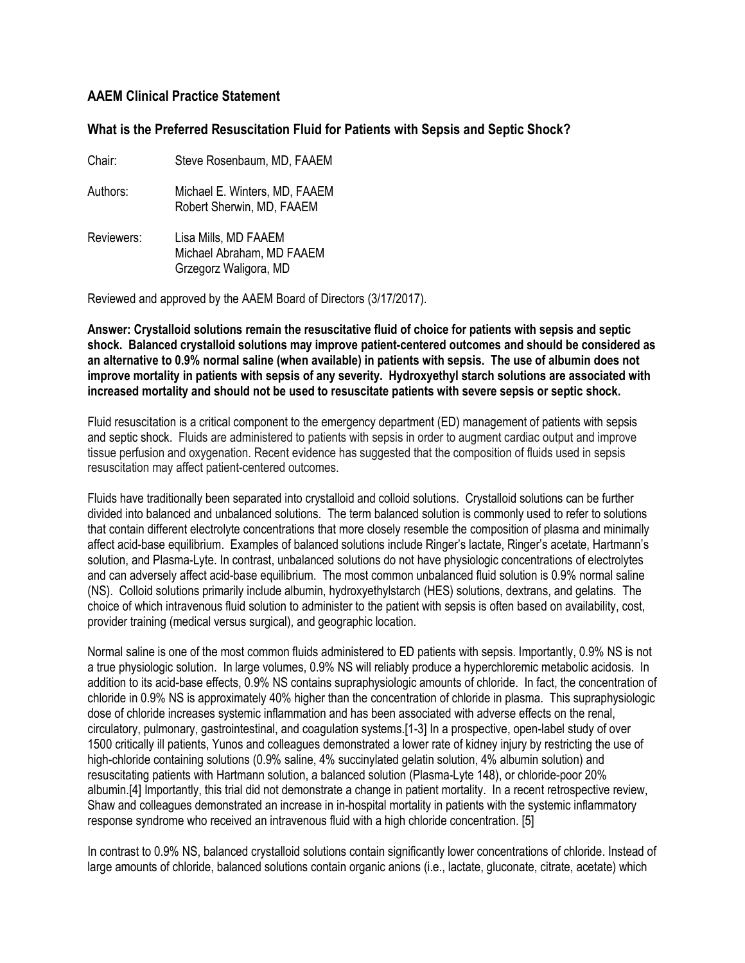## **AAEM Clinical Practice Statement**

## **What is the Preferred Resuscitation Fluid for Patients with Sepsis and Septic Shock?**

Chair: Steve Rosenbaum, MD, FAAEM

- Authors: Michael E. Winters, MD, FAAEM Robert Sherwin, MD, FAAEM
- Reviewers: Lisa Mills, MD FAAEM Michael Abraham, MD FAAEM Grzegorz Waligora, MD

Reviewed and approved by the AAEM Board of Directors (3/17/2017).

**Answer: Crystalloid solutions remain the resuscitative fluid of choice for patients with sepsis and septic shock. Balanced crystalloid solutions may improve patient-centered outcomes and should be considered as an alternative to 0.9% normal saline (when available) in patients with sepsis. The use of albumin does not improve mortality in patients with sepsis of any severity. Hydroxyethyl starch solutions are associated with increased mortality and should not be used to resuscitate patients with severe sepsis or septic shock.** 

Fluid resuscitation is a critical component to the emergency department (ED) management of patients with sepsis and septic shock. Fluids are administered to patients with sepsis in order to augment cardiac output and improve tissue perfusion and oxygenation. Recent evidence has suggested that the composition of fluids used in sepsis resuscitation may affect patient-centered outcomes.

Fluids have traditionally been separated into crystalloid and colloid solutions. Crystalloid solutions can be further divided into balanced and unbalanced solutions. The term balanced solution is commonly used to refer to solutions that contain different electrolyte concentrations that more closely resemble the composition of plasma and minimally affect acid-base equilibrium. Examples of balanced solutions include Ringer's lactate, Ringer's acetate, Hartmann's solution, and Plasma-Lyte. In contrast, unbalanced solutions do not have physiologic concentrations of electrolytes and can adversely affect acid-base equilibrium. The most common unbalanced fluid solution is 0.9% normal saline (NS). Colloid solutions primarily include albumin, hydroxyethylstarch (HES) solutions, dextrans, and gelatins. The choice of which intravenous fluid solution to administer to the patient with sepsis is often based on availability, cost, provider training (medical versus surgical), and geographic location.

Normal saline is one of the most common fluids administered to ED patients with sepsis. Importantly, 0.9% NS is not a true physiologic solution. In large volumes, 0.9% NS will reliably produce a hyperchloremic metabolic acidosis. In addition to its acid-base effects, 0.9% NS contains supraphysiologic amounts of chloride. In fact, the concentration of chloride in 0.9% NS is approximately 40% higher than the concentration of chloride in plasma. This supraphysiologic dose of chloride increases systemic inflammation and has been associated with adverse effects on the renal, circulatory, pulmonary, gastrointestinal, and coagulation systems.[1-3] In a prospective, open-label study of over 1500 critically ill patients, Yunos and colleagues demonstrated a lower rate of kidney injury by restricting the use of high-chloride containing solutions (0.9% saline, 4% succinylated gelatin solution, 4% albumin solution) and resuscitating patients with Hartmann solution, a balanced solution (Plasma-Lyte 148), or chloride-poor 20% albumin.[4] Importantly, this trial did not demonstrate a change in patient mortality. In a recent retrospective review, Shaw and colleagues demonstrated an increase in in-hospital mortality in patients with the systemic inflammatory response syndrome who received an intravenous fluid with a high chloride concentration. [5]

In contrast to 0.9% NS, balanced crystalloid solutions contain significantly lower concentrations of chloride. Instead of large amounts of chloride, balanced solutions contain organic anions (i.e., lactate, gluconate, citrate, acetate) which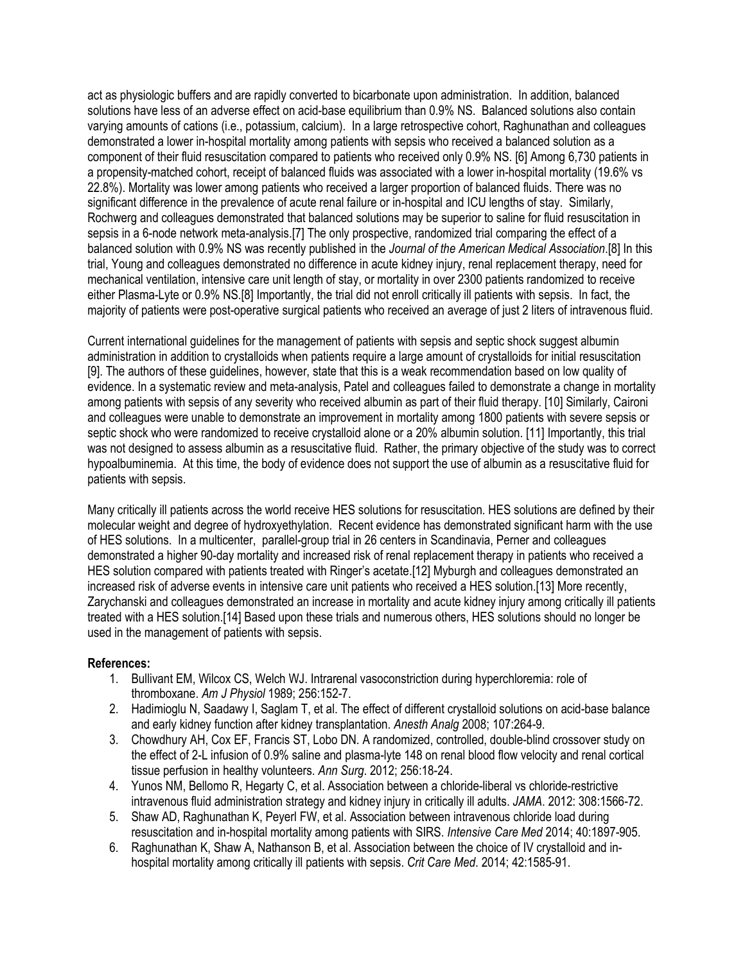act as physiologic buffers and are rapidly converted to bicarbonate upon administration. In addition, balanced solutions have less of an adverse effect on acid-base equilibrium than 0.9% NS. Balanced solutions also contain varying amounts of cations (i.e., potassium, calcium). In a large retrospective cohort, Raghunathan and colleagues demonstrated a lower in-hospital mortality among patients with sepsis who received a balanced solution as a component of their fluid resuscitation compared to patients who received only 0.9% NS. [6] Among 6,730 patients in a propensity-matched cohort, receipt of balanced fluids was associated with a lower in-hospital mortality (19.6% vs 22.8%). Mortality was lower among patients who received a larger proportion of balanced fluids. There was no significant difference in the prevalence of acute renal failure or in-hospital and ICU lengths of stay. Similarly, Rochwerg and colleagues demonstrated that balanced solutions may be superior to saline for fluid resuscitation in sepsis in a 6-node network meta-analysis.[7] The only prospective, randomized trial comparing the effect of a balanced solution with 0.9% NS was recently published in the *Journal of the American Medical Association*.[8] In this trial, Young and colleagues demonstrated no difference in acute kidney injury, renal replacement therapy, need for mechanical ventilation, intensive care unit length of stay, or mortality in over 2300 patients randomized to receive either Plasma-Lyte or 0.9% NS.[8] Importantly, the trial did not enroll critically ill patients with sepsis. In fact, the majority of patients were post-operative surgical patients who received an average of just 2 liters of intravenous fluid.

Current international guidelines for the management of patients with sepsis and septic shock suggest albumin administration in addition to crystalloids when patients require a large amount of crystalloids for initial resuscitation [9]. The authors of these guidelines, however, state that this is a weak recommendation based on low quality of evidence. In a systematic review and meta-analysis, Patel and colleagues failed to demonstrate a change in mortality among patients with sepsis of any severity who received albumin as part of their fluid therapy. [10] Similarly, Caironi and colleagues were unable to demonstrate an improvement in mortality among 1800 patients with severe sepsis or septic shock who were randomized to receive crystalloid alone or a 20% albumin solution. [11] Importantly, this trial was not designed to assess albumin as a resuscitative fluid. Rather, the primary objective of the study was to correct hypoalbuminemia. At this time, the body of evidence does not support the use of albumin as a resuscitative fluid for patients with sepsis.

Many critically ill patients across the world receive HES solutions for resuscitation. HES solutions are defined by their molecular weight and degree of hydroxyethylation. Recent evidence has demonstrated significant harm with the use of HES solutions. In a multicenter, parallel-group trial in 26 centers in Scandinavia, Perner and colleagues demonstrated a higher 90-day mortality and increased risk of renal replacement therapy in patients who received a HES solution compared with patients treated with Ringer's acetate.[12] Myburgh and colleagues demonstrated an increased risk of adverse events in intensive care unit patients who received a HES solution.[13] More recently, Zarychanski and colleagues demonstrated an increase in mortality and acute kidney injury among critically ill patients treated with a HES solution.[14] Based upon these trials and numerous others, HES solutions should no longer be used in the management of patients with sepsis.

## **References:**

- 1. Bullivant EM, Wilcox CS, Welch WJ. Intrarenal vasoconstriction during hyperchloremia: role of thromboxane. *Am J Physiol* 1989; 256:152-7.
- 2. Hadimioglu N, Saadawy I, Saglam T, et al. The effect of different crystalloid solutions on acid-base balance and early kidney function after kidney transplantation. *Anesth Analg* 2008; 107:264-9.
- 3. Chowdhury AH, Cox EF, Francis ST, Lobo DN. A randomized, controlled, double-blind crossover study on the effect of 2-L infusion of 0.9% saline and plasma-lyte 148 on renal blood flow velocity and renal cortical tissue perfusion in healthy volunteers. *Ann Surg*. 2012; 256:18-24.
- 4. Yunos NM, Bellomo R, Hegarty C, et al. Association between a chloride-liberal vs chloride-restrictive intravenous fluid administration strategy and kidney injury in critically ill adults. *JAMA*. 2012: 308:1566-72.
- 5. Shaw AD, Raghunathan K, Peyerl FW, et al. Association between intravenous chloride load during resuscitation and in-hospital mortality among patients with SIRS. *Intensive Care Med* 2014; 40:1897-905.
- 6. Raghunathan K, Shaw A, Nathanson B, et al. Association between the choice of IV crystalloid and inhospital mortality among critically ill patients with sepsis. *Crit Care Med*. 2014; 42:1585-91.